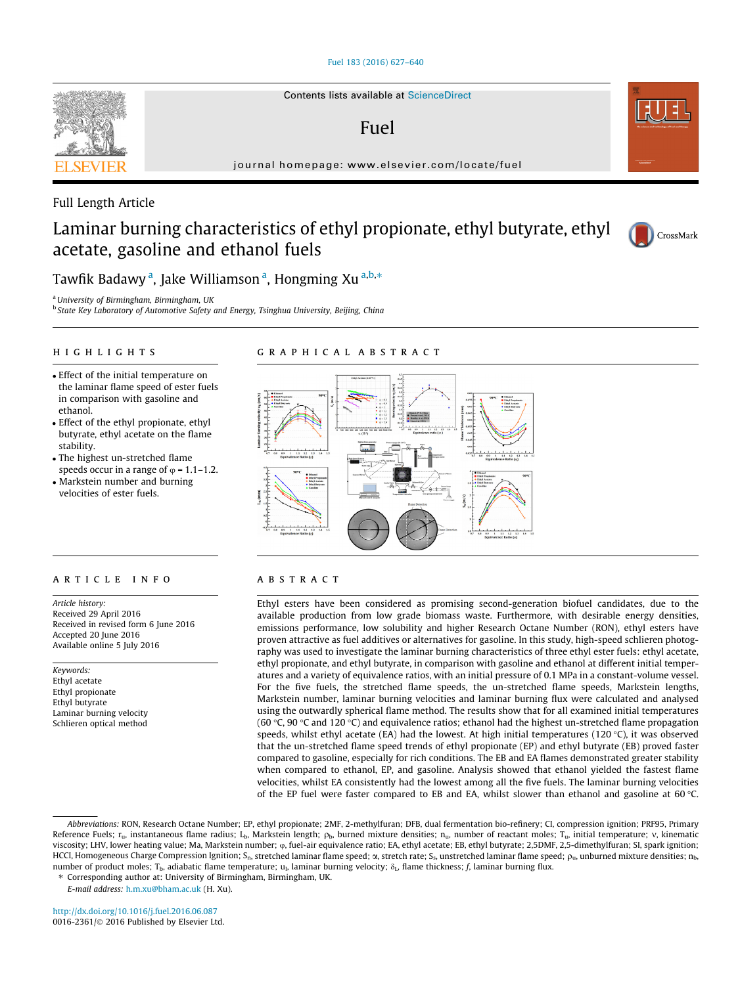### [Fuel 183 \(2016\) 627–640](http://dx.doi.org/10.1016/j.fuel.2016.06.087)



# Fuel

journal homepage: [www.elsevier.com/locate/fuel](http://www.elsevier.com/locate/fuel)

## Full Length Article

# Laminar burning characteristics of ethyl propionate, ethyl butyrate, ethyl acetate, gasoline and ethanol fuels



Tawfik Badawy <sup>a</sup>, Jake Williamson <sup>a</sup>, Hongming Xu <sup>a,b,</sup>\*

<sup>a</sup>University of Birmingham, Birmingham, UK

<sup>b</sup> State Key Laboratory of Automotive Safety and Energy, Tsinghua University, Beijing, China

# highlights are the control of the control of

- Effect of the initial temperature on the laminar flame speed of ester fuels in comparison with gasoline and ethanol.
- Effect of the ethyl propionate, ethyl butyrate, ethyl acetate on the flame stability.
- The highest un-stretched flame speeds occur in a range of  $\varphi$  = 1.1–1.2.
- Markstein number and burning velocities of ester fuels.

#### ARTICLE INFO

Article history: Received 29 April 2016 Received in revised form 6 June 2016 Accepted 20 June 2016 Available online 5 July 2016

Keywords: Ethyl acetate Ethyl propionate Ethyl butyrate Laminar burning velocity Schlieren optical method



Ethyl esters have been considered as promising second-generation biofuel candidates, due to the available production from low grade biomass waste. Furthermore, with desirable energy densities, emissions performance, low solubility and higher Research Octane Number (RON), ethyl esters have proven attractive as fuel additives or alternatives for gasoline. In this study, high-speed schlieren photography was used to investigate the laminar burning characteristics of three ethyl ester fuels: ethyl acetate, ethyl propionate, and ethyl butyrate, in comparison with gasoline and ethanol at different initial temperatures and a variety of equivalence ratios, with an initial pressure of 0.1 MPa in a constant-volume vessel. For the five fuels, the stretched flame speeds, the un-stretched flame speeds, Markstein lengths, Markstein number, laminar burning velocities and laminar burning flux were calculated and analysed using the outwardly spherical flame method. The results show that for all examined initial temperatures (60 °C, 90 °C and 120 °C) and equivalence ratios; ethanol had the highest un-stretched flame propagation speeds, whilst ethyl acetate (EA) had the lowest. At high initial temperatures (120 $\degree$ C), it was observed that the un-stretched flame speed trends of ethyl propionate (EP) and ethyl butyrate (EB) proved faster compared to gasoline, especially for rich conditions. The EB and EA flames demonstrated greater stability when compared to ethanol, EP, and gasoline. Analysis showed that ethanol yielded the fastest flame velocities, whilst EA consistently had the lowest among all the five fuels. The laminar burning velocities of the EP fuel were faster compared to EB and EA, whilst slower than ethanol and gasoline at 60 °C.

⇑ Corresponding author at: University of Birmingham, Birmingham, UK.

E-mail address: [h.m.xu@bham.ac.uk](mailto:h.m.xu@bham.ac.uk) (H. Xu).

Abbreviations: RON, Research Octane Number; EP, ethyl propionate; 2MF, 2-methylfuran; DFB, dual fermentation bio-refinery; CI, compression ignition; PRF95, Primary Reference Fuels;  $r_u$ , instantaneous flame radius; L<sub>b</sub>, Markstein length;  $\rho_b$ , burned mixture densities; n<sub>u</sub>, number of reactant moles; T<sub>u</sub>, initial temperature; v, kinematic viscosity; LHV, lower heating value; Ma, Markstein number;  $\varphi$ , fuel-air equivalence ratio; EA, ethyl acetate; EB, ethyl butyrate; 2,5DMF, 2,5-dimethylfuran; SI, spark ignition; HCCI, Homogeneous Charge Compression Ignition; S<sub>n</sub>, stretched laminar flame speed;  $\alpha$ , stretch rate; S<sub>s</sub>, unstretched laminar flame speed;  $\rho_u$ , unburned mixture densities; n<sub>b</sub>, number of product moles; T<sub>b</sub>, adiabatic flame temperature; u<sub>l</sub>, laminar burning velocity;  $\delta_L$ , flame thickness; f, laminar burning flux.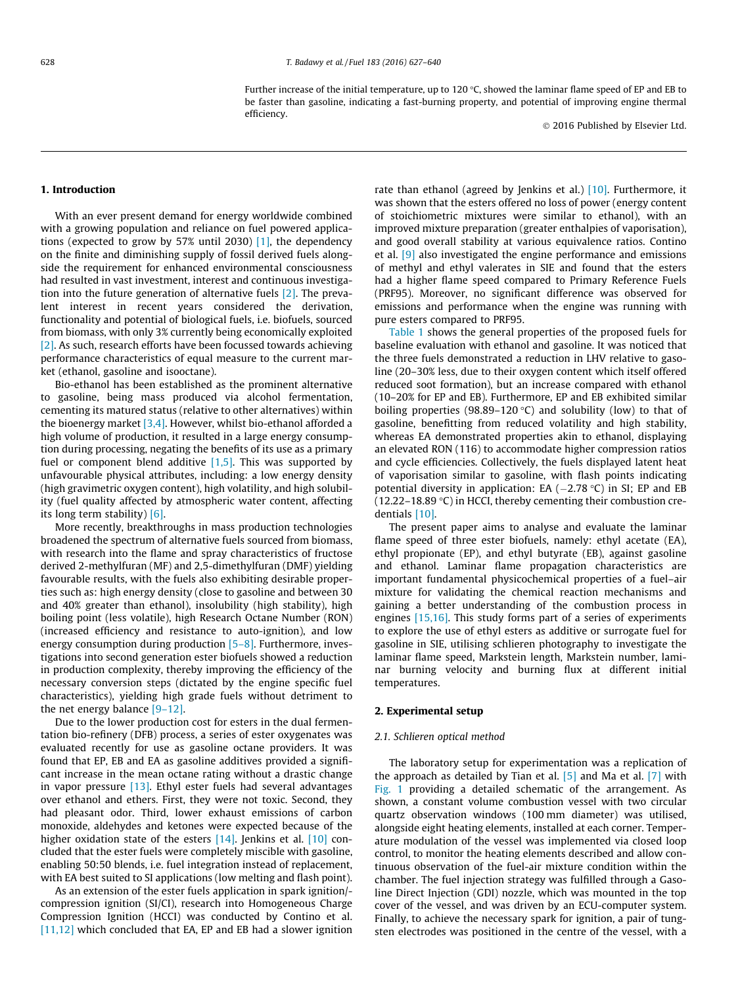Further increase of the initial temperature, up to 120  $\degree$ C, showed the laminar flame speed of EP and EB to be faster than gasoline, indicating a fast-burning property, and potential of improving engine thermal efficiency.

2016 Published by Elsevier Ltd.

## 1. Introduction

With an ever present demand for energy worldwide combined with a growing population and reliance on fuel powered applications (expected to grow by 57% until 2030) [\[1\]](#page--1-0), the dependency on the finite and diminishing supply of fossil derived fuels alongside the requirement for enhanced environmental consciousness had resulted in vast investment, interest and continuous investigation into the future generation of alternative fuels [\[2\].](#page--1-0) The prevalent interest in recent years considered the derivation, functionality and potential of biological fuels, i.e. biofuels, sourced from biomass, with only 3% currently being economically exploited [\[2\]](#page--1-0). As such, research efforts have been focussed towards achieving performance characteristics of equal measure to the current market (ethanol, gasoline and isooctane).

Bio-ethanol has been established as the prominent alternative to gasoline, being mass produced via alcohol fermentation, cementing its matured status (relative to other alternatives) within the bioenergy market [\[3,4\].](#page--1-0) However, whilst bio-ethanol afforded a high volume of production, it resulted in a large energy consumption during processing, negating the benefits of its use as a primary fuel or component blend additive  $[1,5]$ . This was supported by unfavourable physical attributes, including: a low energy density (high gravimetric oxygen content), high volatility, and high solubility (fuel quality affected by atmospheric water content, affecting its long term stability) [\[6\].](#page--1-0)

More recently, breakthroughs in mass production technologies broadened the spectrum of alternative fuels sourced from biomass, with research into the flame and spray characteristics of fructose derived 2-methylfuran (MF) and 2,5-dimethylfuran (DMF) yielding favourable results, with the fuels also exhibiting desirable properties such as: high energy density (close to gasoline and between 30 and 40% greater than ethanol), insolubility (high stability), high boiling point (less volatile), high Research Octane Number (RON) (increased efficiency and resistance to auto-ignition), and low energy consumption during production  $[5-8]$ . Furthermore, investigations into second generation ester biofuels showed a reduction in production complexity, thereby improving the efficiency of the necessary conversion steps (dictated by the engine specific fuel characteristics), yielding high grade fuels without detriment to the net energy balance [\[9–12\]](#page--1-0).

Due to the lower production cost for esters in the dual fermentation bio-refinery (DFB) process, a series of ester oxygenates was evaluated recently for use as gasoline octane providers. It was found that EP, EB and EA as gasoline additives provided a significant increase in the mean octane rating without a drastic change in vapor pressure [\[13\]](#page--1-0). Ethyl ester fuels had several advantages over ethanol and ethers. First, they were not toxic. Second, they had pleasant odor. Third, lower exhaust emissions of carbon monoxide, aldehydes and ketones were expected because of the higher oxidation state of the esters [\[14\]](#page--1-0). Jenkins et al. [\[10\]](#page--1-0) concluded that the ester fuels were completely miscible with gasoline, enabling 50:50 blends, i.e. fuel integration instead of replacement, with EA best suited to SI applications (low melting and flash point).

As an extension of the ester fuels application in spark ignition/ compression ignition (SI/CI), research into Homogeneous Charge Compression Ignition (HCCI) was conducted by Contino et al. [\[11,12\]](#page--1-0) which concluded that EA, EP and EB had a slower ignition rate than ethanol (agreed by Jenkins et al.) [\[10\].](#page--1-0) Furthermore, it was shown that the esters offered no loss of power (energy content of stoichiometric mixtures were similar to ethanol), with an improved mixture preparation (greater enthalpies of vaporisation), and good overall stability at various equivalence ratios. Contino et al. [\[9\]](#page--1-0) also investigated the engine performance and emissions of methyl and ethyl valerates in SIE and found that the esters had a higher flame speed compared to Primary Reference Fuels (PRF95). Moreover, no significant difference was observed for emissions and performance when the engine was running with pure esters compared to PRF95.

[Table 1](#page--1-0) shows the general properties of the proposed fuels for baseline evaluation with ethanol and gasoline. It was noticed that the three fuels demonstrated a reduction in LHV relative to gasoline (20–30% less, due to their oxygen content which itself offered reduced soot formation), but an increase compared with ethanol (10–20% for EP and EB). Furthermore, EP and EB exhibited similar boiling properties (98.89–120 °C) and solubility (low) to that of gasoline, benefitting from reduced volatility and high stability, whereas EA demonstrated properties akin to ethanol, displaying an elevated RON (116) to accommodate higher compression ratios and cycle efficiencies. Collectively, the fuels displayed latent heat of vaporisation similar to gasoline, with flash points indicating potential diversity in application: EA  $(-2.78 \text{ °C})$  in SI; EP and EB (12.22–18.89 $\degree$ C) in HCCI, thereby cementing their combustion credentials [\[10\].](#page--1-0)

The present paper aims to analyse and evaluate the laminar flame speed of three ester biofuels, namely: ethyl acetate (EA), ethyl propionate (EP), and ethyl butyrate (EB), against gasoline and ethanol. Laminar flame propagation characteristics are important fundamental physicochemical properties of a fuel–air mixture for validating the chemical reaction mechanisms and gaining a better understanding of the combustion process in engines [\[15,16\].](#page--1-0) This study forms part of a series of experiments to explore the use of ethyl esters as additive or surrogate fuel for gasoline in SIE, utilising schlieren photography to investigate the laminar flame speed, Markstein length, Markstein number, laminar burning velocity and burning flux at different initial temperatures.

#### 2. Experimental setup

#### 2.1. Schlieren optical method

The laboratory setup for experimentation was a replication of the approach as detailed by Tian et al.  $[5]$  and Ma et al.  $[7]$  with [Fig. 1](#page--1-0) providing a detailed schematic of the arrangement. As shown, a constant volume combustion vessel with two circular quartz observation windows (100 mm diameter) was utilised, alongside eight heating elements, installed at each corner. Temperature modulation of the vessel was implemented via closed loop control, to monitor the heating elements described and allow continuous observation of the fuel-air mixture condition within the chamber. The fuel injection strategy was fulfilled through a Gasoline Direct Injection (GDI) nozzle, which was mounted in the top cover of the vessel, and was driven by an ECU-computer system. Finally, to achieve the necessary spark for ignition, a pair of tungsten electrodes was positioned in the centre of the vessel, with a